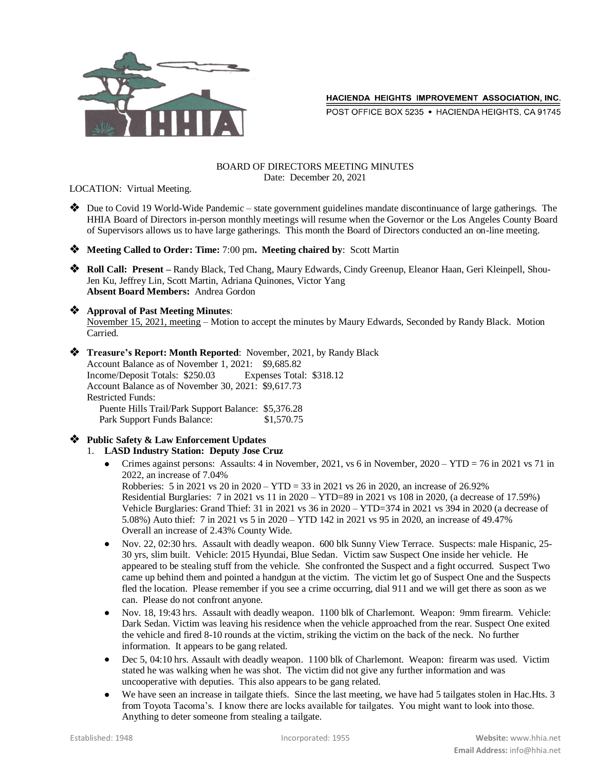

POST OFFICE BOX 5235 . HACIENDA HEIGHTS, CA 91745

#### BOARD OF DIRECTORS MEETING MINUTES Date: December 20, 2021

LOCATION: Virtual Meeting.

- Due to Covid 19 World-Wide Pandemic state government guidelines mandate discontinuance of large gatherings. The HHIA Board of Directors in-person monthly meetings will resume when the Governor or the Los Angeles County Board of Supervisors allows us to have large gatherings. This month the Board of Directors conducted an on-line meeting.
- **Meeting Called to Order: Time:** 7:00 pm**. Meeting chaired by**: Scott Martin
- **◆** Roll Call: Present Randy Black, Ted Chang, Maury Edwards, Cindy Greenup, Eleanor Haan, Geri Kleinpell, Shou-Jen Ku, Jeffrey Lin, Scott Martin, Adriana Quinones, Victor Yang **Absent Board Members:** Andrea Gordon

### **Approval of Past Meeting Minutes**:

November 15, 2021, meeting – Motion to accept the minutes by Maury Edwards, Seconded by Randy Black. Motion Carried.

- **Treasure's Report: Month Reported**: November, 2021, by Randy Black Account Balance as of November 1, 2021: \$9,685.82 Income/Deposit Totals: \$250.03 Expenses Total: \$318.12 Account Balance as of November 30, 2021: \$9,617.73 Restricted Funds: Puente Hills Trail/Park Support Balance: \$5,376.28 Park Support Funds Balance: \$1,570.75
- **Public Safety & Law Enforcement Updates** 1. **LASD Industry Station: Deputy Jose Cruz**
	- Crimes against persons: Assaults: 4 in November, 2021, vs 6 in November, 2020 YTD = 76 in 2021 vs 71 in 2022, an increase of 7.04% Robberies: 5 in 2021 vs 20 in 2020 – YTD = 33 in 2021 vs 26 in 2020, an increase of 26.92% Residential Burglaries: 7 in 2021 vs 11 in 2020 – YTD=89 in 2021 vs 108 in 2020, (a decrease of 17.59%) Vehicle Burglaries: Grand Thief: 31 in 2021 vs 36 in 2020 – YTD=374 in 2021 vs 394 in 2020 (a decrease of 5.08%) Auto thief: 7 in 2021 vs 5 in 2020 – YTD 142 in 2021 vs 95 in 2020, an increase of 49.47% Overall an increase of 2.43% County Wide.
	- Nov. 22, 02:30 hrs. Assault with deadly weapon. 600 blk Sunny View Terrace. Suspects: male Hispanic, 25- 30 yrs, slim built. Vehicle: 2015 Hyundai, Blue Sedan. Victim saw Suspect One inside her vehicle. He appeared to be stealing stuff from the vehicle. She confronted the Suspect and a fight occurred. Suspect Two came up behind them and pointed a handgun at the victim. The victim let go of Suspect One and the Suspects fled the location. Please remember if you see a crime occurring, dial 911 and we will get there as soon as we can. Please do not confront anyone.
	- Nov. 18, 19:43 hrs. Assault with deadly weapon. 1100 blk of Charlemont. Weapon: 9mm firearm. Vehicle: Dark Sedan. Victim was leaving his residence when the vehicle approached from the rear. Suspect One exited the vehicle and fired 8-10 rounds at the victim, striking the victim on the back of the neck. No further information. It appears to be gang related.
	- Dec 5, 04:10 hrs. Assault with deadly weapon. 1100 blk of Charlemont. Weapon: firearm was used. Victim stated he was walking when he was shot. The victim did not give any further information and was uncooperative with deputies. This also appears to be gang related.
	- We have seen an increase in tailgate thiefs. Since the last meeting, we have had 5 tailgates stolen in Hac.Hts. 3 from Toyota Tacoma's. I know there are locks available for tailgates. You might want to look into those. Anything to deter someone from stealing a tailgate.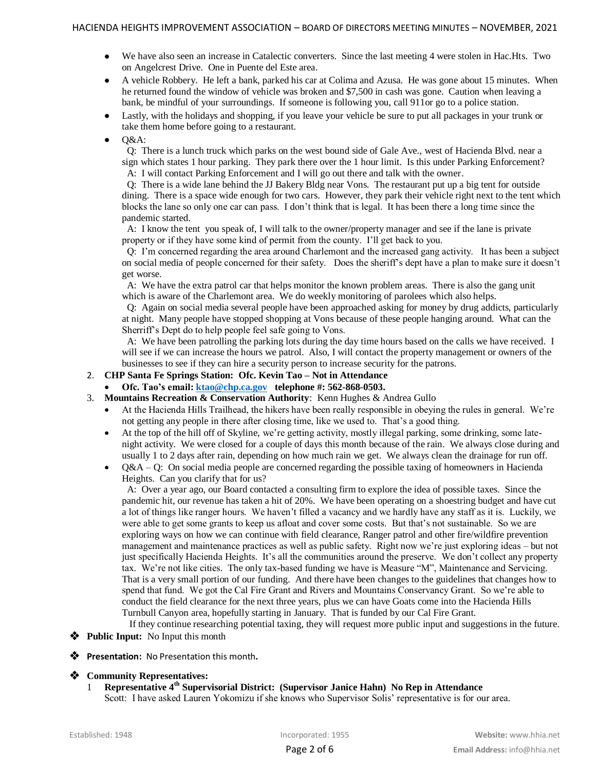- We have also seen an increase in Catalectic converters. Since the last meeting 4 were stolen in Hac.Hts. Two on Angelcrest Drive. One in Puente del Este area.
- A vehicle Robbery. He left a bank, parked his car at Colima and Azusa. He was gone about 15 minutes. When he returned found the window of vehicle was broken and \$7,500 in cash was gone. Caution when leaving a bank, be mindful of your surroundings. If someone is following you, call 911or go to a police station.
- Lastly, with the holidays and shopping, if you leave your vehicle be sure to put all packages in your trunk or take them home before going to a restaurant.
- Q&A:

 Q: There is a lunch truck which parks on the west bound side of Gale Ave., west of Hacienda Blvd. near a sign which states 1 hour parking. They park there over the 1 hour limit. Is this under Parking Enforcement? A: I will contact Parking Enforcement and I will go out there and talk with the owner.

 Q: There is a wide lane behind the JJ Bakery Bldg near Vons. The restaurant put up a big tent for outside dining. There is a space wide enough for two cars. However, they park their vehicle right next to the tent which blocks the lane so only one car can pass. I don't think that is legal. It has been there a long time since the pandemic started.

 A: I know the tent you speak of, I will talk to the owner/property manager and see if the lane is private property or if they have some kind of permit from the county. I'll get back to you.

 Q: I'm concerned regarding the area around Charlemont and the increased gang activity. It has been a subject on social media of people concerned for their safety. Does the sheriff's dept have a plan to make sure it doesn't get worse.

 A: We have the extra patrol car that helps monitor the known problem areas. There is also the gang unit which is aware of the Charlemont area. We do weekly monitoring of parolees which also helps.

 Q: Again on social media several people have been approached asking for money by drug addicts, particularly at night. Many people have stopped shopping at Vons because of these people hanging around. What can the Sherriff's Dept do to help people feel safe going to Vons.

 A: We have been patrolling the parking lots during the day time hours based on the calls we have received. I will see if we can increase the hours we patrol. Also, I will contact the property management or owners of the businesses to see if they can hire a security person to increase security for the patrons.

# 2. **CHP Santa Fe Springs Station: Ofc. Kevin Tao – Not in Attendance**

- **Ofc. Tao's email[: ktao@chp.ca.gov](mailto:ktao@chp.ca.gov) telephone #: 562-868-0503.**
- 3. **Mountains Recreation & Conservation Authority**: Kenn Hughes & Andrea Gullo
	- At the Hacienda Hills Trailhead, the hikers have been really responsible in obeying the rules in general. We're not getting any people in there after closing time, like we used to. That's a good thing.
	- At the top of the hill off of Skyline, we're getting activity, mostly illegal parking, some drinking, some latenight activity. We were closed for a couple of days this month because of the rain. We always close during and usually 1 to 2 days after rain, depending on how much rain we get. We always clean the drainage for run off.
	- $Q&A Q$ : On social media people are concerned regarding the possible taxing of homeowners in Hacienda Heights. Can you clarify that for us?

 A: Over a year ago, our Board contacted a consulting firm to explore the idea of possible taxes. Since the pandemic hit, our revenue has taken a hit of 20%. We have been operating on a shoestring budget and have cut a lot of things like ranger hours. We haven't filled a vacancy and we hardly have any staff as it is. Luckily, we were able to get some grants to keep us afloat and cover some costs. But that's not sustainable. So we are exploring ways on how we can continue with field clearance, Ranger patrol and other fire/wildfire prevention management and maintenance practices as well as public safety. Right now we're just exploring ideas – but not just specifically Hacienda Heights. It's all the communities around the preserve. We don't collect any property tax. We're not like cities. The only tax-based funding we have is Measure "M", Maintenance and Servicing. That is a very small portion of our funding. And there have been changes to the guidelines that changes how to spend that fund. We got the Cal Fire Grant and Rivers and Mountains Conservancy Grant. So we're able to conduct the field clearance for the next three years, plus we can have Goats come into the Hacienda Hills Turnbull Canyon area, hopefully starting in January. That is funded by our Cal Fire Grant.

 If they continue researching potential taxing, they will request more public input and suggestions in the future. Public Input: No Input this month

**Presentation:** No Presentation this month**.**

# **Community Representatives:**

1 **Representative 4th Supervisorial District: (Supervisor Janice Hahn) No Rep in Attendance** Scott: I have asked Lauren Yokomizu if she knows who Supervisor Solis' representative is for our area.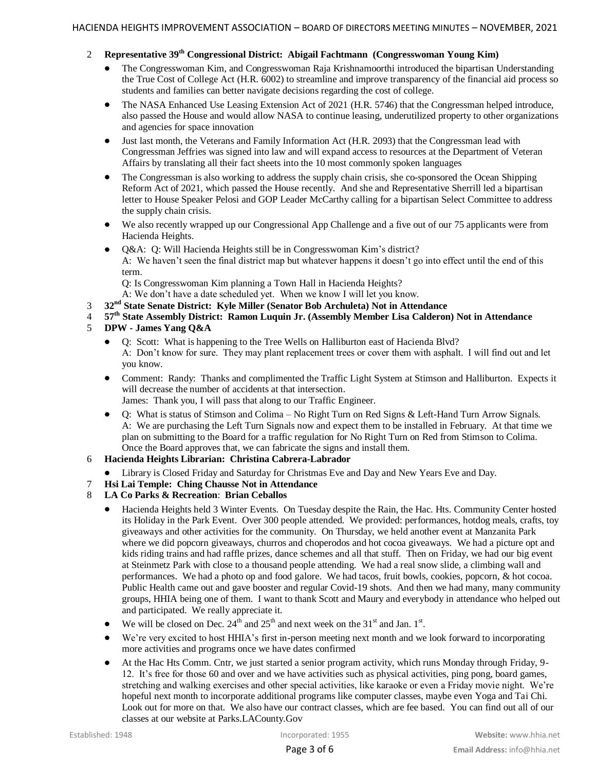# 2 **Representative 39th Congressional District: Abigail Fachtmann (Congresswoman Young Kim)**

- The Congresswoman Kim, and Congresswoman Raja Krishnamoorthi introduced the bipartisan Understanding the True Cost of College Act (H.R. 6002) to streamline and improve transparency of the financial aid process so students and families can better navigate decisions regarding the cost of college.
- The NASA Enhanced Use Leasing Extension Act of 2021 (H.R. 5746) that the Congressman helped introduce, also passed the House and would allow NASA to continue leasing, underutilized property to other organizations and agencies for space innovation
- Just last month, the Veterans and Family Information Act (H.R. 2093) that the Congressman lead with Congressman Jeffries was signed into law and will expand access to resources at the Department of Veteran Affairs by translating all their fact sheets into the 10 most commonly spoken languages
- The Congressman is also working to address the supply chain crisis, she co-sponsored the Ocean Shipping Reform Act of 2021, which passed the House recently. And she and Representative Sherrill led a bipartisan letter to House Speaker Pelosi and GOP Leader McCarthy calling for a bipartisan Select Committee to address the supply chain crisis.
- We also recently wrapped up our Congressional App Challenge and a five out of our 75 applicants were from Hacienda Heights.
- Q&A: Q: Will Hacienda Heights still be in Congresswoman Kim's district? A: We haven't seen the final district map but whatever happens it doesn't go into effect until the end of this term.

Q: Is Congresswoman Kim planning a Town Hall in Hacienda Heights?

A: We don't have a date scheduled yet. When we know I will let you know.

- 3 **32nd State Senate District: Kyle Miller (Senator Bob Archuleta) Not in Attendance**
- 4 **57th State Assembly District: Ramon Luquin Jr. (Assembly Member Lisa Calderon) Not in Attendance**
- 5 **DPW - James Yang Q&A**
	- Q: Scott: What is happening to the Tree Wells on Halliburton east of Hacienda Blvd? A: Don't know for sure. They may plant replacement trees or cover them with asphalt. I will find out and let you know.
	- Comment: Randy: Thanks and complimented the Traffic Light System at Stimson and Halliburton. Expects it will decrease the number of accidents at that intersection. James: Thank you, I will pass that along to our Traffic Engineer.
	- Q: What is status of Stimson and Colima No Right Turn on Red Signs & Left-Hand Turn Arrow Signals. A: We are purchasing the Left Turn Signals now and expect them to be installed in February. At that time we plan on submitting to the Board for a traffic regulation for No Right Turn on Red from Stimson to Colima. Once the Board approves that, we can fabricate the signs and install them.

# 6 **Hacienda Heights Librarian: Christina Cabrera-Labrador**

- Library is Closed Friday and Saturday for Christmas Eve and Day and New Years Eve and Day.
- 7 **Hsi Lai Temple: Ching Chausse Not in Attendance**
- 8 **LA Co Parks & Recreation**: **Brian Ceballos**
	- Hacienda Heights held 3 Winter Events. On Tuesday despite the Rain, the Hac. Hts. Community Center hosted its Holiday in the Park Event. Over 300 people attended. We provided: performances, hotdog meals, crafts, toy giveaways and other activities for the community. On Thursday, we held another event at Manzanita Park where we did popcorn giveaways, churros and choperodos and hot cocoa giveaways. We had a picture opt and kids riding trains and had raffle prizes, dance schemes and all that stuff. Then on Friday, we had our big event at Steinmetz Park with close to a thousand people attending. We had a real snow slide, a climbing wall and performances. We had a photo op and food galore. We had tacos, fruit bowls, cookies, popcorn, & hot cocoa. Public Health came out and gave booster and regular Covid-19 shots. And then we had many, many community groups, HHIA being one of them. I want to thank Scott and Maury and everybody in attendance who helped out and participated. We really appreciate it.
	- We will be closed on Dec.  $24<sup>th</sup>$  and  $25<sup>th</sup>$  and next week on the  $31<sup>st</sup>$  and Jan.  $1<sup>st</sup>$ .
	- We're very excited to host HHIA's first in-person meeting next month and we look forward to incorporating more activities and programs once we have dates confirmed
	- At the Hac Hts Comm. Cntr, we just started a senior program activity, which runs Monday through Friday, 9- 12. It's free for those 60 and over and we have activities such as physical activities, ping pong, board games, stretching and walking exercises and other special activities, like karaoke or even a Friday movie night. We're hopeful next month to incorporate additional programs like computer classes, maybe even Yoga and Tai Chi. Look out for more on that. We also have our contract classes, which are fee based. You can find out all of our classes at our website at Parks.LACounty.Gov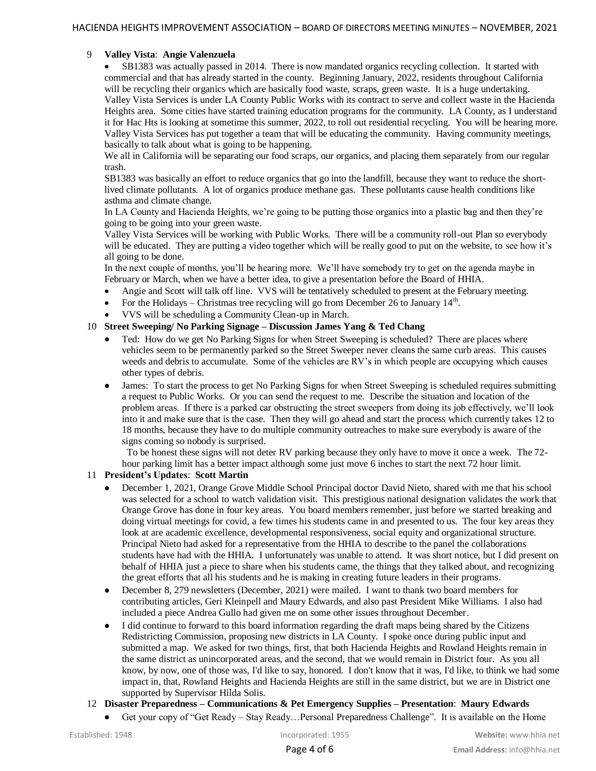# 9 **Valley Vista**: **Angie Valenzuela**

 SB1383 was actually passed in 2014. There is now mandated organics recycling collection. It started with commercial and that has already started in the county. Beginning January, 2022, residents throughout California will be recycling their organics which are basically food waste, scraps, green waste. It is a huge undertaking. Valley Vista Services is under LA County Public Works with its contract to serve and collect waste in the Hacienda Heights area. Some cities have started training education programs for the community. LA County, as I understand it for Hac Hts is looking at sometime this summer, 2022, to roll out residential recycling. You will be hearing more. Valley Vista Services has put together a team that will be educating the community. Having community meetings, basically to talk about what is going to be happening.

We all in California will be separating our food scraps, our organics, and placing them separately from our regular trash.

SB1383 was basically an effort to reduce organics that go into the landfill, because they want to reduce the shortlived climate pollutants. A lot of organics produce methane gas. These pollutants cause health conditions like asthma and climate change.

In LA County and Hacienda Heights, we're going to be putting those organics into a plastic bag and then they're going to be going into your green waste.

Valley Vista Services will be working with Public Works. There will be a community roll-out Plan so everybody will be educated. They are putting a video together which will be really good to put on the website, to see how it's all going to be done.

In the next couple of months, you'll be hearing more. We'll have somebody try to get on the agenda maybe in February or March, when we have a better idea, to give a presentation before the Board of HHIA.

- Angie and Scott will talk off line. VVS will be tentatively scheduled to present at the February meeting.
- For the Holidays Christmas tree recycling will go from December 26 to January  $14<sup>th</sup>$ .
- VVS will be scheduling a Community Clean-up in March.

### 10 **Street Sweeping/ No Parking Signage – Discussion James Yang & Ted Chang**

- Ted: How do we get No Parking Signs for when Street Sweeping is scheduled? There are places where vehicles seem to be permanently parked so the Street Sweeper never cleans the same curb areas. This causes weeds and debris to accumulate. Some of the vehicles are RV's in which people are occupying which causes other types of debris.
- James: To start the process to get No Parking Signs for when Street Sweeping is scheduled requires submitting a request to Public Works. Or you can send the request to me. Describe the situation and location of the problem areas. If there is a parked car obstructing the street sweepers from doing its job effectively, we'll look into it and make sure that is the case. Then they will go ahead and start the process which currently takes 12 to 18 months, because they have to do multiple community outreaches to make sure everybody is aware of the signs coming so nobody is surprised.

 To be honest these signs will not deter RV parking because they only have to move it once a week. The 72 hour parking limit has a better impact although some just move 6 inches to start the next 72 hour limit.

#### 11 **President's Updates**: **Scott Martin**

- December 1, 2021, Orange Grove Middle School Principal doctor David Nieto, shared with me that his school was selected for a school to watch validation visit. This prestigious national designation validates the work that Orange Grove has done in four key areas. You board members remember, just before we started breaking and doing virtual meetings for covid, a few times his students came in and presented to us. The four key areas they look at are academic excellence, developmental responsiveness, social equity and organizational structure. Principal Nieto had asked for a representative from the HHIA to describe to the panel the collaborations students have had with the HHIA. I unfortunately was unable to attend. It was short notice, but I did present on behalf of HHIA just a piece to share when his students came, the things that they talked about, and recognizing the great efforts that all his students and he is making in creating future leaders in their programs.
- December 8, 279 newsletters (December, 2021) were mailed. I want to thank two board members for contributing articles, Geri Kleinpell and Maury Edwards, and also past President Mike Williams. I also had included a piece Andrea Gullo had given me on some other issues throughout December.
- I did continue to forward to this board information regarding the draft maps being shared by the Citizens Redistricting Commission, proposing new districts in LA County. I spoke once during public input and submitted a map. We asked for two things, first, that both Hacienda Heights and Rowland Heights remain in the same district as unincorporated areas, and the second, that we would remain in District four. As you all know, by now, one of those was, I'd like to say, honored. I don't know that it was, I'd like, to think we had some impact in, that, Rowland Heights and Hacienda Heights are still in the same district, but we are in District one supported by Supervisor Hilda Solis.

# 12 **Disaster Preparedness – Communications & Pet Emergency Supplies – Presentation**: **Maury Edwards**

Get your copy of "Get Ready – Stay Ready…Personal Preparedness Challenge". It is available on the Home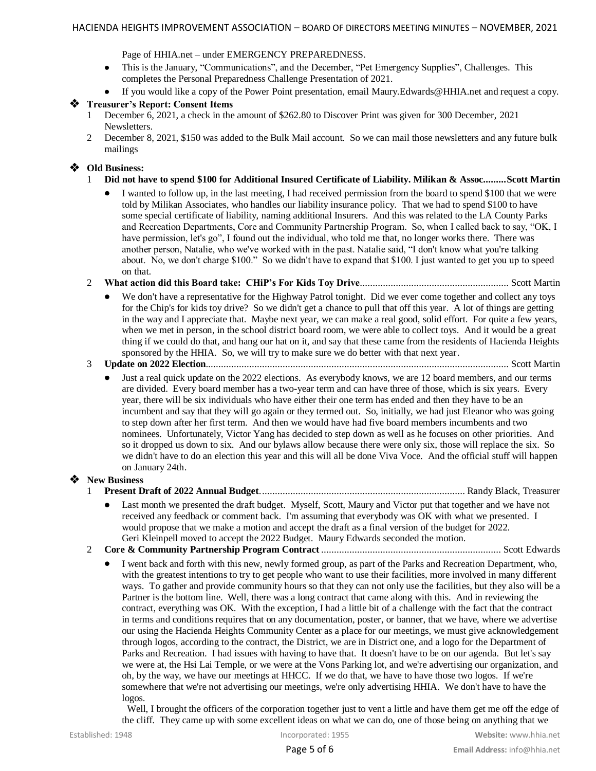Page of HHIA.net – under EMERGENCY PREPAREDNESS.

- This is the January, "Communications", and the December, "Pet Emergency Supplies", Challenges. This completes the Personal Preparedness Challenge Presentation of 2021.
- If you would like a copy of the Power Point presentation, email Maury.Edwards@HHIA.net and request a copy.

### **Treasurer's Report: Consent Items**

- 1 December 6, 2021, a check in the amount of \$262.80 to Discover Print was given for 300 December, 2021 **Newsletters**
- 2 December 8, 2021, \$150 was added to the Bulk Mail account. So we can mail those newsletters and any future bulk mailings

### **Old Business:**

- 1 **Did not have to spend \$100 for Additional Insured Certificate of Liability. Milikan & Assoc.........Scott Martin**
	- I wanted to follow up, in the last meeting, I had received permission from the board to spend \$100 that we were told by Milikan Associates, who handles our liability insurance policy. That we had to spend \$100 to have some special certificate of liability, naming additional Insurers. And this was related to the LA County Parks and Recreation Departments, Core and Community Partnership Program. So, when I called back to say, "OK, I have permission, let's go", I found out the individual, who told me that, no longer works there. There was another person, Natalie, who we've worked with in the past. Natalie said, "I don't know what you're talking about. No, we don't charge \$100." So we didn't have to expand that \$100. I just wanted to get you up to speed on that.
- 2 **What action did this Board take: CHiP's For Kids Toy Drive**.......................................................... Scott Martin
	- We don't have a representative for the Highway Patrol tonight. Did we ever come together and collect any toys for the Chip's for kids toy drive? So we didn't get a chance to pull that off this year. A lot of things are getting in the way and I appreciate that. Maybe next year, we can make a real good, solid effort. For quite a few years, when we met in person, in the school district board room, we were able to collect toys. And it would be a great thing if we could do that, and hang our hat on it, and say that these came from the residents of Hacienda Heights sponsored by the HHIA. So, we will try to make sure we do better with that next year.

### 3 **Update on 2022 Election**...................................................................................................................... Scott Martin

 Just a real quick update on the 2022 elections. As everybody knows, we are 12 board members, and our terms are divided. Every board member has a two-year term and can have three of those, which is six years. Every year, there will be six individuals who have either their one term has ended and then they have to be an incumbent and say that they will go again or they termed out. So, initially, we had just Eleanor who was going to step down after her first term. And then we would have had five board members incumbents and two nominees. Unfortunately, Victor Yang has decided to step down as well as he focuses on other priorities. And so it dropped us down to six. And our bylaws allow because there were only six, those will replace the six. So we didn't have to do an election this year and this will all be done Viva Voce. And the official stuff will happen on January 24th.

#### **New Business**

- 1 **Present Draft of 2022 Annual Budget**................................................................................ Randy Black, Treasurer
	- Last month we presented the draft budget. Myself, Scott, Maury and Victor put that together and we have not received any feedback or comment back. I'm assuming that everybody was OK with what we presented. I would propose that we make a motion and accept the draft as a final version of the budget for 2022. Geri Kleinpell moved to accept the 2022 Budget. Maury Edwards seconded the motion.
- 2 **Core & Community Partnership Program Contract** ...................................................................... Scott Edwards
	- I went back and forth with this new, newly formed group, as part of the Parks and Recreation Department, who, with the greatest intentions to try to get people who want to use their facilities, more involved in many different ways. To gather and provide community hours so that they can not only use the facilities, but they also will be a Partner is the bottom line. Well, there was a long contract that came along with this. And in reviewing the contract, everything was OK. With the exception, I had a little bit of a challenge with the fact that the contract in terms and conditions requires that on any documentation, poster, or banner, that we have, where we advertise our using the Hacienda Heights Community Center as a place for our meetings, we must give acknowledgement through logos, according to the contract, the District, we are in District one, and a logo for the Department of Parks and Recreation. I had issues with having to have that. It doesn't have to be on our agenda. But let's say we were at, the Hsi Lai Temple, or we were at the Vons Parking lot, and we're advertising our organization, and oh, by the way, we have our meetings at HHCC. If we do that, we have to have those two logos. If we're somewhere that we're not advertising our meetings, we're only advertising HHIA. We don't have to have the logos.

 Well, I brought the officers of the corporation together just to vent a little and have them get me off the edge of the cliff. They came up with some excellent ideas on what we can do, one of those being on anything that we